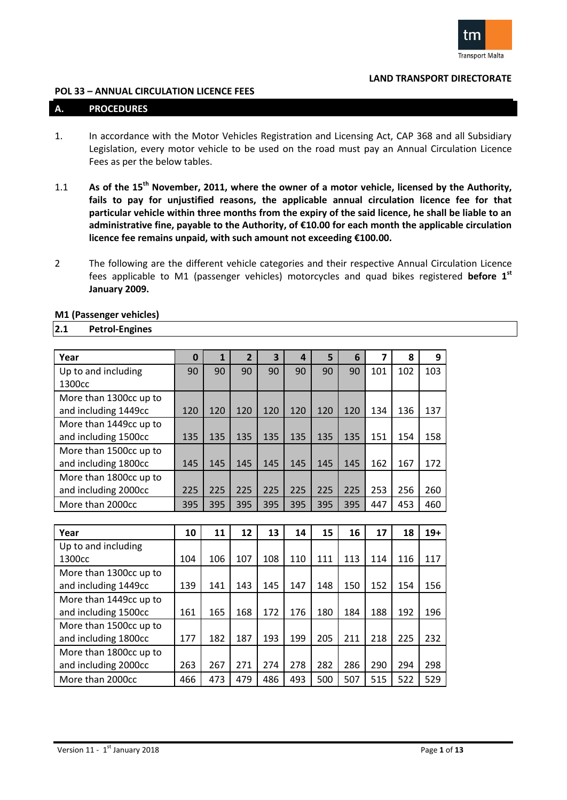

#### **POL 33 – ANNUAL CIRCULATION LICENCE FEES**

#### **A. PROCEDURES**

- 1. In accordance with the Motor Vehicles Registration and Licensing Act, CAP 368 and all Subsidiary Legislation, every motor vehicle to be used on the road must pay an Annual Circulation Licence Fees as per the below tables.
- 1.1 **As of the 15th November, 2011, where the owner of a motor vehicle, licensed by the Authority, fails to pay for unjustified reasons, the applicable annual circulation licence fee for that particular vehicle within three months from the expiry of the said licence, he shall be liable to an administrative fine, payable to the Authority, of €10.00 for each month the applicable circulation licence fee remains unpaid, with such amount not exceeding €100.00.**
- 2 The following are the different vehicle categories and their respective Annual Circulation Licence fees applicable to M1 (passenger vehicles) motorcycles and quad bikes registered **before 1 st January 2009.**

| Year                                           | $\bf{0}$ | $\mathbf{1}$ | $\overline{2}$ | 3   | $\overline{a}$ | 5   | 6   | $\overline{\mathbf{z}}$ | 8   | 9     |
|------------------------------------------------|----------|--------------|----------------|-----|----------------|-----|-----|-------------------------|-----|-------|
| Up to and including<br>1300cc                  | 90       | 90           | 90             | 90  | 90             | 90  | 90  | 101                     | 102 | 103   |
| More than 1300cc up to<br>and including 1449cc | 120      | 120          | 120            | 120 | 120            | 120 | 120 | 134                     | 136 | 137   |
| More than 1449cc up to<br>and including 1500cc | 135      | 135          | 135            | 135 | 135            | 135 | 135 | 151                     | 154 | 158   |
| More than 1500cc up to<br>and including 1800cc | 145      | 145          | 145            | 145 | 145            | 145 | 145 | 162                     | 167 | 172   |
| More than 1800cc up to<br>and including 2000cc | 225      | 225          | 225            | 225 | 225            | 225 | 225 | 253                     | 256 | 260   |
| More than 2000cc                               | 395      | 395          | 395            | 395 | 395            | 395 | 395 | 447                     | 453 | 460   |
|                                                |          |              |                |     |                |     |     |                         |     |       |
| Year                                           | 10       | 11           | 12             | 13  | 14             | 15  | 16  | 17                      | 18  | $19+$ |
| Up to and including<br>1300cc                  | 104      | 106          | 107            | 108 | 110            | 111 | 113 | 114                     | 116 | 117   |
| More than 1300cc up to<br>and including 1449cc | 139      | 141          | 143            | 145 | 147            | 148 | 150 | 152                     | 154 | 156   |
| More than 1449cc up to<br>and including 1500cc | 161      | 165          | 168            | 172 | 176            | 180 | 184 | 188                     | 192 | 196   |
| More than 1500cc up to<br>and including 1800cc | 177      | 182          | 187            | 193 | 199            | 205 | 211 | 218                     | 225 | 232   |
| More than 1800cc up to<br>and including 2000cc | 263      | 267          | 271            | 274 | 278            | 282 | 286 | 290                     | 294 | 298   |
| More than 2000cc                               | 466      | 473          | 479            | 486 | 493            | 500 | 507 | 515                     | 522 | 529   |

**M1 (Passenger vehicles)**

**2.1 Petrol-Engines**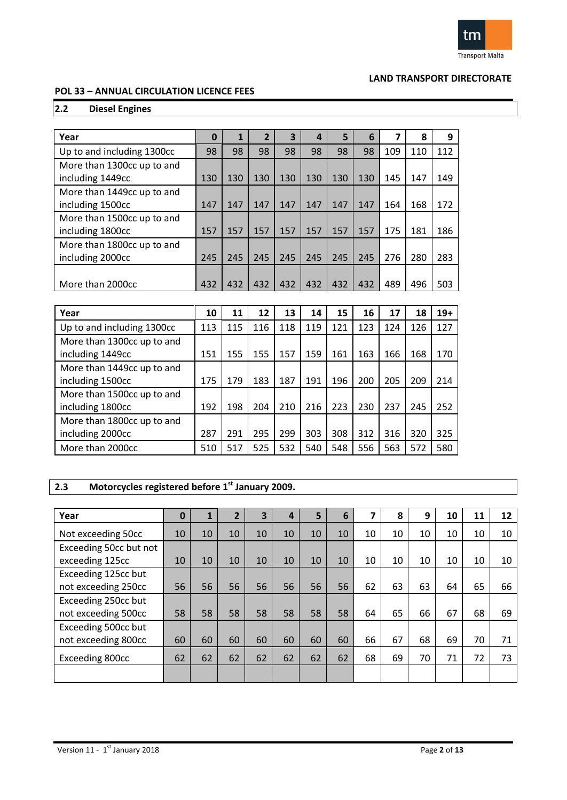

### **POL 33 – ANNUAL CIRCULATION LICENCE FEES**

# **2.2 Diesel Engines**

| Year                                           | 0   | 1   | 2   | 3   | 4   | 5   | 6   |     | 8   | 9   |
|------------------------------------------------|-----|-----|-----|-----|-----|-----|-----|-----|-----|-----|
| Up to and including 1300cc                     | 98  | 98  | 98  | 98  | 98  | 98  | 98  | 109 | 110 | 112 |
| More than 1300cc up to and<br>including 1449cc | 130 | 130 | 130 | 130 | 130 | 130 | 130 | 145 | 147 | 149 |
| More than 1449cc up to and<br>including 1500cc | 147 | 147 | 147 | 147 | 147 | 147 | 147 | 164 | 168 | 172 |
| More than 1500cc up to and<br>including 1800cc | 157 | 157 | 157 | 157 | 157 | 157 | 157 | 175 | 181 | 186 |
| More than 1800cc up to and<br>including 2000cc | 245 | 245 | 245 | 245 | 245 | 245 | 245 | 276 | 280 | 283 |
| More than 2000cc                               | 432 | 432 | 432 | 432 | 432 | 432 | 432 | 489 | 496 | 503 |

| Year                                           | 10  | 11  | 12  | 13  | 14  | 15  | 16  | 17  | 18  | $19+$ |
|------------------------------------------------|-----|-----|-----|-----|-----|-----|-----|-----|-----|-------|
| Up to and including 1300cc                     | 113 | 115 | 116 | 118 | 119 | 121 | 123 | 124 | 126 | 127   |
| More than 1300cc up to and<br>including 1449cc | 151 | 155 | 155 | 157 | 159 | 161 | 163 | 166 | 168 | 170   |
| More than 1449cc up to and<br>including 1500cc | 175 | 179 | 183 | 187 | 191 | 196 | 200 | 205 | 209 | 214   |
| More than 1500cc up to and<br>including 1800cc | 192 | 198 | 204 | 210 | 216 | 223 | 230 | 237 | 245 | 252   |
| More than 1800cc up to and<br>including 2000cc | 287 | 291 | 295 | 299 | 303 | 308 | 312 | 316 | 320 | 325   |
| More than 2000cc                               | 510 | 517 | 525 | 532 | 540 | 548 | 556 | 563 | 572 | 580   |

### **2.3 Motorcycles registered before 1 st January 2009.**

| Year                                       | $\bf{0}$ |    | $\overline{2}$ | $\overline{\mathbf{3}}$ | 4  | 5  | 6  |    | 8  | 9  | 10 | 11 | 12 |
|--------------------------------------------|----------|----|----------------|-------------------------|----|----|----|----|----|----|----|----|----|
| Not exceeding 50cc                         | 10       | 10 | 10             | 10                      | 10 | 10 | 10 | 10 | 10 | 10 | 10 | 10 | 10 |
| Exceeding 50cc but not<br>exceeding 125cc  | 10       | 10 | 10             | 10                      | 10 | 10 | 10 | 10 | 10 | 10 | 10 | 10 | 10 |
| Exceeding 125cc but<br>not exceeding 250cc | 56       | 56 | 56             | 56                      | 56 | 56 | 56 | 62 | 63 | 63 | 64 | 65 | 66 |
| Exceeding 250cc but<br>not exceeding 500cc | 58       | 58 | 58             | 58                      | 58 | 58 | 58 | 64 | 65 | 66 | 67 | 68 | 69 |
| Exceeding 500cc but<br>not exceeding 800cc | 60       | 60 | 60             | 60                      | 60 | 60 | 60 | 66 | 67 | 68 | 69 | 70 | 71 |
| Exceeding 800cc                            | 62       | 62 | 62             | 62                      | 62 | 62 | 62 | 68 | 69 | 70 | 71 | 72 | 73 |
|                                            |          |    |                |                         |    |    |    |    |    |    |    |    |    |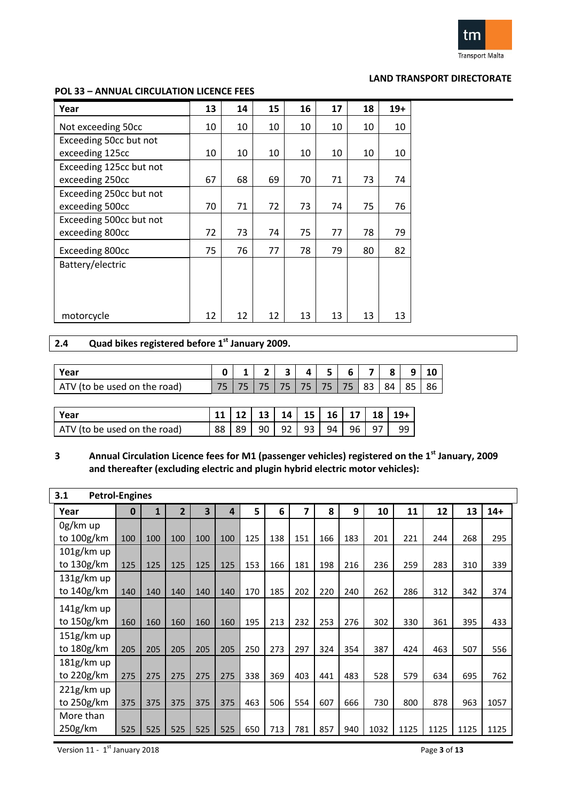

#### **POL 33 – ANNUAL CIRCULATION LICENCE FEES**

| Year                    | 13 | 14 | 15 | 16 | 17 | 18 | $19+$ |
|-------------------------|----|----|----|----|----|----|-------|
| Not exceeding 50cc      | 10 | 10 | 10 | 10 | 10 | 10 | 10    |
| Exceeding 50cc but not  |    |    |    |    |    |    |       |
| exceeding 125cc         | 10 | 10 | 10 | 10 | 10 | 10 | 10    |
| Exceeding 125cc but not |    |    |    |    |    |    |       |
| exceeding 250cc         | 67 | 68 | 69 | 70 | 71 | 73 | 74    |
| Exceeding 250cc but not |    |    |    |    |    |    |       |
| exceeding 500cc         | 70 | 71 | 72 | 73 | 74 | 75 | 76    |
| Exceeding 500cc but not |    |    |    |    |    |    |       |
| exceeding 800cc         | 72 | 73 | 74 | 75 | 77 | 78 | 79    |
| Exceeding 800cc         | 75 | 76 | 77 | 78 | 79 | 80 | 82    |
| Battery/electric        |    |    |    |    |    |    |       |
|                         |    |    |    |    |    |    |       |
|                         |    |    |    |    |    |    |       |
|                         |    |    |    |    |    |    |       |
| motorcycle              | 12 | 12 | 12 | 13 | 13 | 13 | 13    |

### **2.4 Quad bikes registered before 1 st January 2009.**

| Year                              |     |  | - |  | h |    |    |    |    |
|-----------------------------------|-----|--|---|--|---|----|----|----|----|
| be used on the road)<br>AIV<br>το | - F |  |   |  |   | 83 | 84 | 85 | 86 |

| l Year                       |  |  |  |  | $ 11 12 13 14 15 16 17 18 19+$ |
|------------------------------|--|--|--|--|--------------------------------|
| ATV (to be used on the road) |  |  |  |  | 88 89 90 92 93 94 96 97 99     |

# **3 Annual Circulation Licence fees for M1 (passenger vehicles) registered on the 1st January, 2009 and thereafter (excluding electric and plugin hybrid electric motor vehicles):**

| <b>Petrol-Engines</b><br>3.1 |          |     |                |     |     |     |     |     |     |     |      |      |      |      |       |
|------------------------------|----------|-----|----------------|-----|-----|-----|-----|-----|-----|-----|------|------|------|------|-------|
| Year                         | $\bf{0}$ | 1   | $\overline{2}$ | 3   | 4   | 5   | 6   | 7   | 8   | 9   | 10   | 11   | 12   | 13   | $14+$ |
| 0g/km up<br>to 100g/km       | 100      | 100 | 100            | 100 | 100 | 125 | 138 | 151 | 166 | 183 | 201  | 221  | 244  | 268  | 295   |
| $101g$ /km up<br>to 130g/km  | 125      | 125 | 125            | 125 | 125 | 153 | 166 | 181 | 198 | 216 | 236  | 259  | 283  | 310  | 339   |
| 131g/km up<br>to 140g/km     | 140      | 140 | 140            | 140 | 140 | 170 | 185 | 202 | 220 | 240 | 262  | 286  | 312  | 342  | 374   |
| $141g$ /km up<br>to 150g/km  | 160      | 160 | 160            | 160 | 160 | 195 | 213 | 232 | 253 | 276 | 302  | 330  | 361  | 395  | 433   |
| $151g$ /km up<br>to 180g/km  | 205      | 205 | 205            | 205 | 205 | 250 | 273 | 297 | 324 | 354 | 387  | 424  | 463  | 507  | 556   |
| 181g/km up<br>to 220g/km     | 275      | 275 | 275            | 275 | 275 | 338 | 369 | 403 | 441 | 483 | 528  | 579  | 634  | 695  | 762   |
| $221g$ /km up<br>to 250g/km  | 375      | 375 | 375            | 375 | 375 | 463 | 506 | 554 | 607 | 666 | 730  | 800  | 878  | 963  | 1057  |
| More than<br>250g/km         | 525      | 525 | 525            | 525 | 525 | 650 | 713 | 781 | 857 | 940 | 1032 | 1125 | 1125 | 1125 | 1125  |

Version 11 - 1 st January 2018 Page **3** of **13**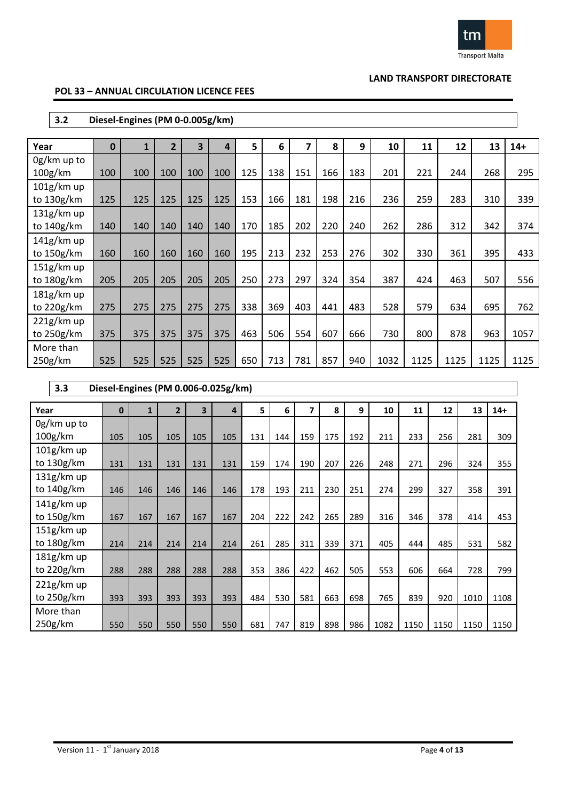

### **POL 33 – ANNUAL CIRCULATION LICENCE FEES**

| 3.2                                 |              | Diesel-Engines (PM 0-0.005g/km) |                |     |     |     |     |     |     |     |      |      |      |      |       |
|-------------------------------------|--------------|---------------------------------|----------------|-----|-----|-----|-----|-----|-----|-----|------|------|------|------|-------|
| Year                                | $\mathbf{0}$ | $\mathbf{1}$                    | $\overline{2}$ | 3   | 4   | 5   | 6   | 7   | 8   | 9   | 10   | 11   | 12   | 13   | $14+$ |
| 0g/km up to<br>100 <sub>g</sub> /km | 100          | 100                             | 100            | 100 | 100 | 125 | 138 | 151 | 166 | 183 | 201  | 221  | 244  | 268  | 295   |
| $101g$ /km up<br>to 130g/km         | 125          | 125                             | 125            | 125 | 125 | 153 | 166 | 181 | 198 | 216 | 236  | 259  | 283  | 310  | 339   |
| $131g$ /km up<br>to 140g/km         | 140          | 140                             | 140            | 140 | 140 | 170 | 185 | 202 | 220 | 240 | 262  | 286  | 312  | 342  | 374   |
| $141g$ /km up<br>to $150g/km$       | 160          | 160                             | 160            | 160 | 160 | 195 | 213 | 232 | 253 | 276 | 302  | 330  | 361  | 395  | 433   |
| $151g$ /km up<br>to 180g/km         | 205          | 205                             | 205            | 205 | 205 | 250 | 273 | 297 | 324 | 354 | 387  | 424  | 463  | 507  | 556   |
| 181g/km up<br>to 220g/km            | 275          | 275                             | 275            | 275 | 275 | 338 | 369 | 403 | 441 | 483 | 528  | 579  | 634  | 695  | 762   |
| $221g$ /km up<br>to 250g/km         | 375          | 375                             | 375            | 375 | 375 | 463 | 506 | 554 | 607 | 666 | 730  | 800  | 878  | 963  | 1057  |
| More than<br>250g/km                | 525          | 525                             | 525            | 525 | 525 | 650 | 713 | 781 | 857 | 940 | 1032 | 1125 | 1125 | 1125 | 1125  |

| 3.3                           |              |              |                |     | Diesel-Engines (PM 0.006-0.025g/km) |     |     |     |     |     |      |      |      |      |       |
|-------------------------------|--------------|--------------|----------------|-----|-------------------------------------|-----|-----|-----|-----|-----|------|------|------|------|-------|
| Year                          | $\mathbf{0}$ | $\mathbf{1}$ | $\overline{2}$ | 3   | 4                                   | 5   | 6   | 7   | 8   | 9   | 10   | 11   | 12   | 13   | $14+$ |
| 0g/km up to<br>100g/km        | 105          | 105          | 105            | 105 | 105                                 | 131 | 144 | 159 | 175 | 192 | 211  | 233  | 256  | 281  | 309   |
| 101g/km up<br>to 130g/km      | 131          | 131          | 131            | 131 | 131                                 | 159 | 174 | 190 | 207 | 226 | 248  | 271  | 296  | 324  | 355   |
| $131g$ /km up<br>to 140g/km   | 146          | 146          | 146            | 146 | 146                                 | 178 | 193 | 211 | 230 | 251 | 274  | 299  | 327  | 358  | 391   |
| $141g$ /km up<br>to $150g/km$ | 167          | 167          | 167            | 167 | 167                                 | 204 | 222 | 242 | 265 | 289 | 316  | 346  | 378  | 414  | 453   |
| 151g/km up<br>to $180g/km$    | 214          | 214          | 214            | 214 | 214                                 | 261 | 285 | 311 | 339 | 371 | 405  | 444  | 485  | 531  | 582   |
| $181g$ /km up<br>to $220g/km$ | 288          | 288          | 288            | 288 | 288                                 | 353 | 386 | 422 | 462 | 505 | 553  | 606  | 664  | 728  | 799   |
| $221g/km$ up<br>to 250g/km    | 393          | 393          | 393            | 393 | 393                                 | 484 | 530 | 581 | 663 | 698 | 765  | 839  | 920  | 1010 | 1108  |
| More than<br>250g/km          | 550          | 550          | 550            | 550 | 550                                 | 681 | 747 | 819 | 898 | 986 | 1082 | 1150 | 1150 | 1150 | 1150  |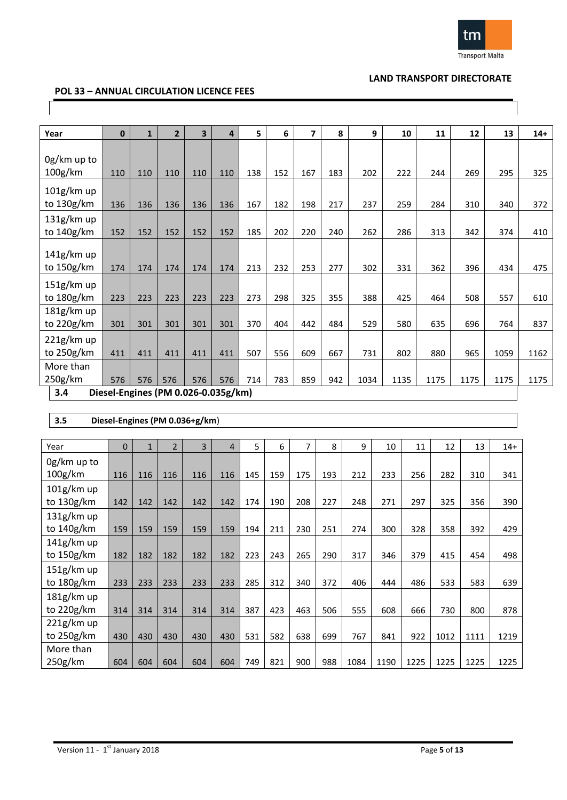

### **POL 33 – ANNUAL CIRCULATION LICENCE FEES**

| Year                                | $\mathbf{0}$ | $\mathbf{1}$ | $\overline{2}$ | $\overline{\mathbf{3}}$             | 4   | 5.  | 6   | $\overline{7}$ | 8   | 9    | 10   | 11   | 12   | 13   | $14+$ |
|-------------------------------------|--------------|--------------|----------------|-------------------------------------|-----|-----|-----|----------------|-----|------|------|------|------|------|-------|
| 0g/km up to<br>100 <sub>g</sub> /km | 110          | 110          | 110            | 110                                 | 110 | 138 | 152 | 167            | 183 | 202  | 222  | 244  | 269  | 295  | 325   |
| $101g$ /km up<br>to 130g/km         | 136          | 136          | 136            | 136                                 | 136 | 167 | 182 | 198            | 217 | 237  | 259  | 284  | 310  | 340  | 372   |
| 131g/km up<br>to 140g/km            | 152          | 152          | 152            | 152                                 | 152 | 185 | 202 | 220            | 240 | 262  | 286  | 313  | 342  | 374  | 410   |
| $141g$ /km up<br>to 150g/km         | 174          | 174          | 174            | 174                                 | 174 | 213 | 232 | 253            | 277 | 302  | 331  | 362  | 396  | 434  | 475   |
| 151g/km up<br>to 180g/km            | 223          | 223          | 223            | 223                                 | 223 | 273 | 298 | 325            | 355 | 388  | 425  | 464  | 508  | 557  | 610   |
| 181g/km up<br>to 220g/km            | 301          | 301          | 301            | 301                                 | 301 | 370 | 404 | 442            | 484 | 529  | 580  | 635  | 696  | 764  | 837   |
| 221g/km up<br>to 250g/km            | 411          | 411          | 411            | 411                                 | 411 | 507 | 556 | 609            | 667 | 731  | 802  | 880  | 965  | 1059 | 1162  |
| More than<br>250g/km                | 576          | 576          | 576            | 576                                 | 576 | 714 | 783 | 859            | 942 | 1034 | 1135 | 1175 | 1175 | 1175 | 1175  |
| 3.4                                 |              |              |                | Diesel-Engines (PM 0.026-0.035g/km) |     |     |     |                |     |      |      |      |      |      |       |

#### **3.5 Diesel-Engines (PM 0.036+g/km**)

| Year          | $\mathbf{0}$ | $\mathbf{1}$ | $\overline{2}$ | 3   | 4   | 5   | 6   | 7   | 8   | 9    | 10   | 11   | 12   | 13   | $14+$ |
|---------------|--------------|--------------|----------------|-----|-----|-----|-----|-----|-----|------|------|------|------|------|-------|
| 0g/km up to   |              |              |                |     |     |     |     |     |     |      |      |      |      |      |       |
| 100g/km       | 116          | 116          | 116            | 116 | 116 | 145 | 159 | 175 | 193 | 212  | 233  | 256  | 282  | 310  | 341   |
| $101g$ /km up |              |              |                |     |     |     |     |     |     |      |      |      |      |      |       |
| to 130g/km    | 142          | 142          | 142            | 142 | 142 | 174 | 190 | 208 | 227 | 248  | 271  | 297  | 325  | 356  | 390   |
| $131g$ /km up |              |              |                |     |     |     |     |     |     |      |      |      |      |      |       |
| to 140g/km    | 159          | 159          | 159            | 159 | 159 | 194 | 211 | 230 | 251 | 274  | 300  | 328  | 358  | 392  | 429   |
| 141g/km up    |              |              |                |     |     |     |     |     |     |      |      |      |      |      |       |
| to 150g/km    | 182          | 182          | 182            | 182 | 182 | 223 | 243 | 265 | 290 | 317  | 346  | 379  | 415  | 454  | 498   |
| $151g$ /km up |              |              |                |     |     |     |     |     |     |      |      |      |      |      |       |
| to 180g/km    | 233          | 233          | 233            | 233 | 233 | 285 | 312 | 340 | 372 | 406  | 444  | 486  | 533  | 583  | 639   |
| $181g$ /km up |              |              |                |     |     |     |     |     |     |      |      |      |      |      |       |
| to 220g/km    | 314          | 314          | 314            | 314 | 314 | 387 | 423 | 463 | 506 | 555  | 608  | 666  | 730  | 800  | 878   |
| $221g$ /km up |              |              |                |     |     |     |     |     |     |      |      |      |      |      |       |
| to 250g/km    | 430          | 430          | 430            | 430 | 430 | 531 | 582 | 638 | 699 | 767  | 841  | 922  | 1012 | 1111 | 1219  |
| More than     |              |              |                |     |     |     |     |     |     |      |      |      |      |      |       |
| 250g/km       | 604          | 604          | 604            | 604 | 604 | 749 | 821 | 900 | 988 | 1084 | 1190 | 1225 | 1225 | 1225 | 1225  |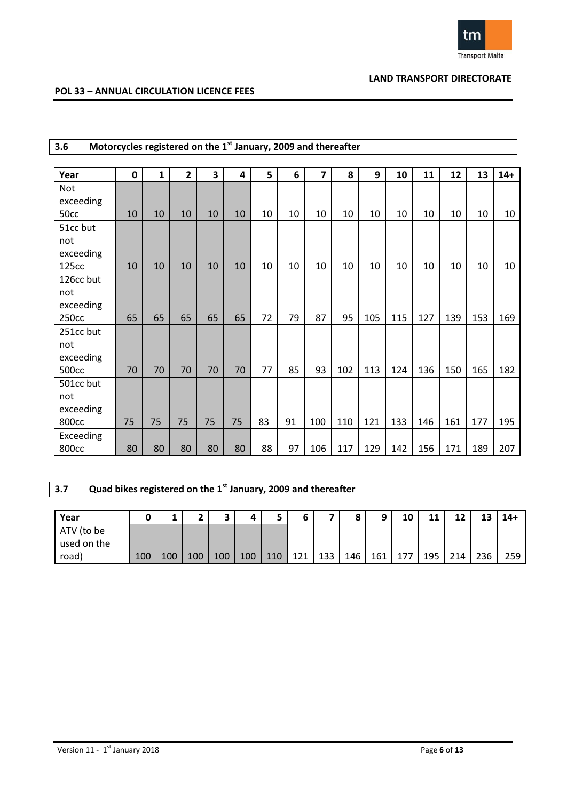

### **POL 33 – ANNUAL CIRCULATION LICENCE FEES**

| Motorcycles registered on the 1 <sup>st</sup> January, 2009 and thereafter<br>3.6 |             |              |                |    |    |    |    |                |     |     |     |     |     |     |       |
|-----------------------------------------------------------------------------------|-------------|--------------|----------------|----|----|----|----|----------------|-----|-----|-----|-----|-----|-----|-------|
|                                                                                   |             |              |                |    |    |    |    |                |     |     |     |     |     |     |       |
| Year                                                                              | $\mathbf 0$ | $\mathbf{1}$ | $\overline{2}$ | 3  | 4  | 5  | 6  | $\overline{7}$ | 8   | 9   | 10  | 11  | 12  | 13  | $14+$ |
| <b>Not</b>                                                                        |             |              |                |    |    |    |    |                |     |     |     |     |     |     |       |
| exceeding                                                                         |             |              |                |    |    |    |    |                |     |     |     |     |     |     |       |
| 50cc                                                                              | 10          | 10           | 10             | 10 | 10 | 10 | 10 | 10             | 10  | 10  | 10  | 10  | 10  | 10  | 10    |
| 51cc but                                                                          |             |              |                |    |    |    |    |                |     |     |     |     |     |     |       |
| not                                                                               |             |              |                |    |    |    |    |                |     |     |     |     |     |     |       |
| exceeding                                                                         |             |              |                |    |    |    |    |                |     |     |     |     |     |     |       |
| 125cc                                                                             | 10          | 10           | 10             | 10 | 10 | 10 | 10 | 10             | 10  | 10  | 10  | 10  | 10  | 10  | 10    |
| 126cc but                                                                         |             |              |                |    |    |    |    |                |     |     |     |     |     |     |       |
| not                                                                               |             |              |                |    |    |    |    |                |     |     |     |     |     |     |       |
| exceeding                                                                         |             |              |                |    |    |    |    |                |     |     |     |     |     |     |       |
| 250cc                                                                             | 65          | 65           | 65             | 65 | 65 | 72 | 79 | 87             | 95  | 105 | 115 | 127 | 139 | 153 | 169   |
| 251cc but                                                                         |             |              |                |    |    |    |    |                |     |     |     |     |     |     |       |
| not                                                                               |             |              |                |    |    |    |    |                |     |     |     |     |     |     |       |
| exceeding                                                                         |             |              |                |    |    |    |    |                |     |     |     |     |     |     |       |
| 500 <sub>cc</sub>                                                                 | 70          | 70           | 70             | 70 | 70 | 77 | 85 | 93             | 102 | 113 | 124 | 136 | 150 | 165 | 182   |
| 501cc but                                                                         |             |              |                |    |    |    |    |                |     |     |     |     |     |     |       |
| not                                                                               |             |              |                |    |    |    |    |                |     |     |     |     |     |     |       |
| exceeding                                                                         |             |              |                |    |    |    |    |                |     |     |     |     |     |     |       |
| 800cc                                                                             | 75          | 75           | 75             | 75 | 75 | 83 | 91 | 100            | 110 | 121 | 133 | 146 | 161 | 177 | 195   |
| Exceeding                                                                         |             |              |                |    |    |    |    |                |     |     |     |     |     |     |       |
| 800cc                                                                             | 80          | 80           | 80             | 80 | 80 | 88 | 97 | 106            | 117 | 129 | 142 | 156 | 171 | 189 | 207   |

# **3.7 Quad bikes registered on the 1st January, 2009 and thereafter**

| Year                      |     |     |     |     |     |     |     |     | $\bullet$<br>۰ | a   | 10  | 11<br>ᆠ | 12  | 13  | $14+$ |
|---------------------------|-----|-----|-----|-----|-----|-----|-----|-----|----------------|-----|-----|---------|-----|-----|-------|
| ATV (to be<br>used on the |     |     |     |     |     |     |     |     |                |     |     |         |     |     |       |
| road)                     | 100 | 100 | 100 | 100 | 100 | 110 | 171 | 133 | 146            | 161 | 177 | 195     | 214 | 236 | 259   |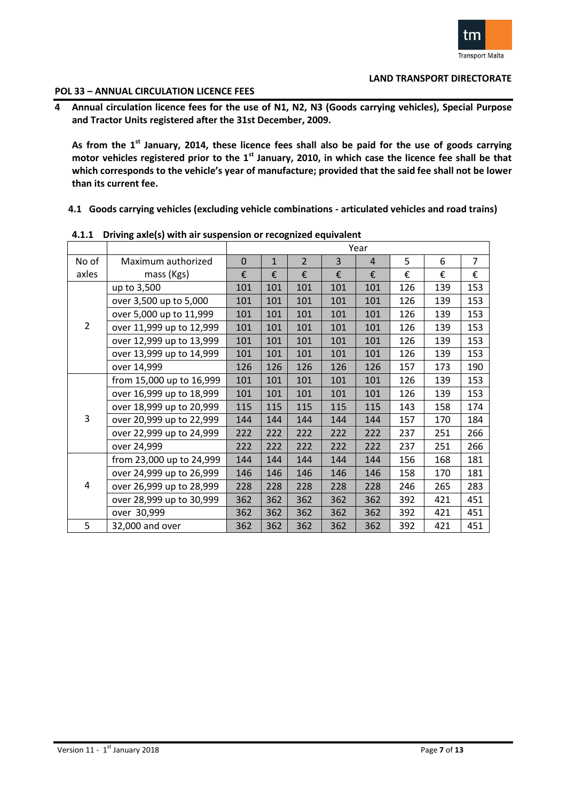

#### **POL 33 – ANNUAL CIRCULATION LICENCE FEES**

**4 Annual circulation licence fees for the use of N1, N2, N3 (Goods carrying vehicles), Special Purpose and Tractor Units registered after the 31st December, 2009.** 

**As from the 1st January, 2014, these licence fees shall also be paid for the use of goods carrying motor vehicles registered prior to the 1st January, 2010, in which case the licence fee shall be that which corresponds to the vehicle's year of manufacture; provided that the said fee shall not be lower than its current fee.**

**4.1 Goods carrying vehicles (excluding vehicle combinations - articulated vehicles and road trains)**

|                |                          |     |              |                |                | Year           |     |     |                |
|----------------|--------------------------|-----|--------------|----------------|----------------|----------------|-----|-----|----------------|
| No of          | Maximum authorized       | 0   | $\mathbf{1}$ | $\overline{2}$ | $\overline{3}$ | $\overline{4}$ | 5   | 6   | $\overline{7}$ |
| axles          | mass (Kgs)               | €   | €            | €              | €              | €              | €   | €   | €              |
|                | up to 3,500              | 101 | 101          | 101            | 101            | 101            | 126 | 139 | 153            |
|                | over 3,500 up to 5,000   | 101 | 101          | 101            | 101            | 101            | 126 | 139 | 153            |
|                | over 5,000 up to 11,999  | 101 | 101          | 101            | 101            | 101            | 126 | 139 | 153            |
| $\overline{2}$ | over 11,999 up to 12,999 | 101 | 101          | 101            | 101            | 101            | 126 | 139 | 153            |
|                | over 12,999 up to 13,999 | 101 | 101          | 101            | 101            | 101            | 126 | 139 | 153            |
|                | over 13,999 up to 14,999 | 101 | 101          | 101            | 101            | 101            | 126 | 139 | 153            |
|                | over 14,999              | 126 | 126          | 126            | 126            | 126            | 157 | 173 | 190            |
|                | from 15,000 up to 16,999 | 101 | 101          | 101            | 101            | 101            | 126 | 139 | 153            |
|                | over 16,999 up to 18,999 | 101 | 101          | 101            | 101            | 101            | 126 | 139 | 153            |
|                | over 18,999 up to 20,999 | 115 | 115          | 115            | 115            | 115            | 143 | 158 | 174            |
| 3              | over 20,999 up to 22,999 | 144 | 144          | 144            | 144            | 144            | 157 | 170 | 184            |
|                | over 22,999 up to 24,999 | 222 | 222          | 222            | 222            | 222            | 237 | 251 | 266            |
|                | over 24,999              | 222 | 222          | 222            | 222            | 222            | 237 | 251 | 266            |
|                | from 23,000 up to 24,999 | 144 | 144          | 144            | 144            | 144            | 156 | 168 | 181            |
|                | over 24,999 up to 26,999 | 146 | 146          | 146            | 146            | 146            | 158 | 170 | 181            |
| 4              | over 26,999 up to 28,999 | 228 | 228          | 228            | 228            | 228            | 246 | 265 | 283            |
|                | over 28,999 up to 30,999 | 362 | 362          | 362            | 362            | 362            | 392 | 421 | 451            |
|                | over 30,999              | 362 | 362          | 362            | 362            | 362            | 392 | 421 | 451            |
| 5              | 32,000 and over          | 362 | 362          | 362            | 362            | 362            | 392 | 421 | 451            |

**4.1.1 Driving axle(s) with air suspension or recognized equivalent**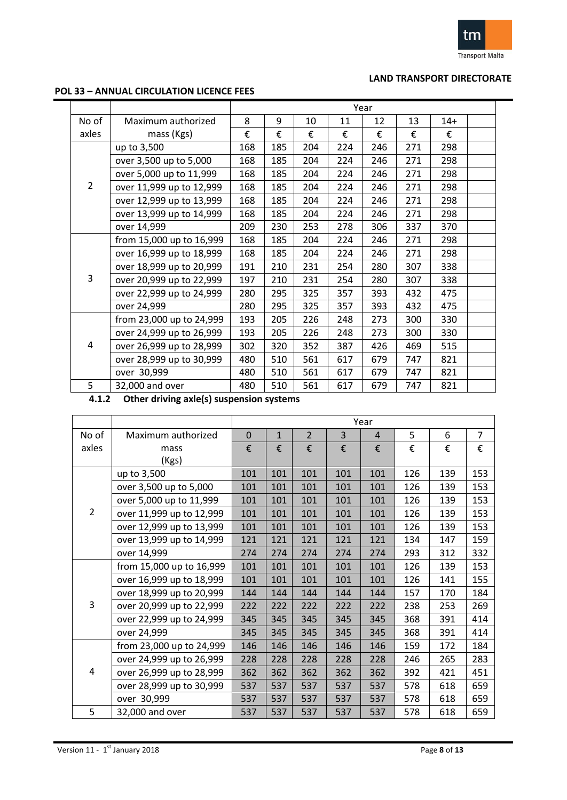

### **POL 33 – ANNUAL CIRCULATION LICENCE FEES**

|                |                          | Year<br>8<br>9<br>13<br>10<br>11<br>12<br>$14+$<br>€<br>€<br>€<br>€<br>€<br>€<br>€ |     |     |     |     |     |     |  |
|----------------|--------------------------|------------------------------------------------------------------------------------|-----|-----|-----|-----|-----|-----|--|
| No of          | Maximum authorized       |                                                                                    |     |     |     |     |     |     |  |
| axles          | mass (Kgs)               |                                                                                    |     |     |     |     |     |     |  |
|                | up to 3,500              | 168                                                                                | 185 | 204 | 224 | 246 | 271 | 298 |  |
|                | over 3,500 up to 5,000   | 168                                                                                | 185 | 204 | 224 | 246 | 271 | 298 |  |
|                | over 5,000 up to 11,999  | 168                                                                                | 185 | 204 | 224 | 246 | 271 | 298 |  |
| $\overline{2}$ | over 11,999 up to 12,999 | 168                                                                                | 185 | 204 | 224 | 246 | 271 | 298 |  |
|                | over 12,999 up to 13,999 | 168                                                                                | 185 | 204 | 224 | 246 | 271 | 298 |  |
|                | over 13,999 up to 14,999 | 168                                                                                | 185 | 204 | 224 | 246 | 271 | 298 |  |
|                | over 14,999              | 209                                                                                | 230 | 253 | 278 | 306 | 337 | 370 |  |
|                | from 15,000 up to 16,999 | 168                                                                                | 185 | 204 | 224 | 246 | 271 | 298 |  |
|                | over 16,999 up to 18,999 | 168                                                                                | 185 | 204 | 224 | 246 | 271 | 298 |  |
|                | over 18,999 up to 20,999 | 191                                                                                | 210 | 231 | 254 | 280 | 307 | 338 |  |
| 3              | over 20,999 up to 22,999 | 197                                                                                | 210 | 231 | 254 | 280 | 307 | 338 |  |
|                | over 22,999 up to 24,999 | 280                                                                                | 295 | 325 | 357 | 393 | 432 | 475 |  |
|                | over 24,999              | 280                                                                                | 295 | 325 | 357 | 393 | 432 | 475 |  |
|                | from 23,000 up to 24,999 | 193                                                                                | 205 | 226 | 248 | 273 | 300 | 330 |  |
|                | over 24,999 up to 26,999 | 193                                                                                | 205 | 226 | 248 | 273 | 300 | 330 |  |
| 4              | over 26,999 up to 28,999 | 302                                                                                | 320 | 352 | 387 | 426 | 469 | 515 |  |
|                | over 28,999 up to 30,999 | 480                                                                                | 510 | 561 | 617 | 679 | 747 | 821 |  |
|                | over 30,999              | 480                                                                                | 510 | 561 | 617 | 679 | 747 | 821 |  |
| 5              | 32,000 and over          | 480                                                                                | 510 | 561 | 617 | 679 | 747 | 821 |  |

**4.1.2 Other driving axle(s) suspension systems**

|                |                          | Year<br>5<br>$\overline{7}$<br>$\overline{2}$<br>3<br>6<br>$\mathbf 0$<br>$\mathbf{1}$<br>$\overline{4}$<br>€<br>€<br>€<br>€<br>€<br>€<br>€<br>€ |     |     |     |     |     |     |     |  |  |
|----------------|--------------------------|--------------------------------------------------------------------------------------------------------------------------------------------------|-----|-----|-----|-----|-----|-----|-----|--|--|
| No of          | Maximum authorized       |                                                                                                                                                  |     |     |     |     |     |     |     |  |  |
| axles          | mass                     |                                                                                                                                                  |     |     |     |     |     |     |     |  |  |
|                | (Kgs)                    |                                                                                                                                                  |     |     |     |     |     |     |     |  |  |
|                | up to 3,500              | 101                                                                                                                                              | 101 | 101 | 101 | 101 | 126 | 139 | 153 |  |  |
|                | over 3,500 up to 5,000   | 101                                                                                                                                              | 101 | 101 | 101 | 101 | 126 | 139 | 153 |  |  |
|                | over 5,000 up to 11,999  | 101                                                                                                                                              | 101 | 101 | 101 | 101 | 126 | 139 | 153 |  |  |
| $\overline{2}$ | over 11,999 up to 12,999 | 101                                                                                                                                              | 101 | 101 | 101 | 101 | 126 | 139 | 153 |  |  |
|                | over 12,999 up to 13,999 | 101                                                                                                                                              | 101 | 101 | 101 | 101 | 126 | 139 | 153 |  |  |
|                | over 13,999 up to 14,999 | 121                                                                                                                                              | 121 | 121 | 121 | 121 | 134 | 147 | 159 |  |  |
|                | over 14,999              | 274                                                                                                                                              | 274 | 274 | 274 | 274 | 293 | 312 | 332 |  |  |
|                | from 15,000 up to 16,999 | 101                                                                                                                                              | 101 | 101 | 101 | 101 | 126 | 139 | 153 |  |  |
|                | over 16,999 up to 18,999 | 101                                                                                                                                              | 101 | 101 | 101 | 101 | 126 | 141 | 155 |  |  |
|                | over 18,999 up to 20,999 | 144                                                                                                                                              | 144 | 144 | 144 | 144 | 157 | 170 | 184 |  |  |
| 3              | over 20,999 up to 22,999 | 222                                                                                                                                              | 222 | 222 | 222 | 222 | 238 | 253 | 269 |  |  |
|                | over 22,999 up to 24,999 | 345                                                                                                                                              | 345 | 345 | 345 | 345 | 368 | 391 | 414 |  |  |
|                | over 24,999              | 345                                                                                                                                              | 345 | 345 | 345 | 345 | 368 | 391 | 414 |  |  |
|                | from 23,000 up to 24,999 | 146                                                                                                                                              | 146 | 146 | 146 | 146 | 159 | 172 | 184 |  |  |
|                | over 24,999 up to 26,999 | 228                                                                                                                                              | 228 | 228 | 228 | 228 | 246 | 265 | 283 |  |  |
| 4              | over 26,999 up to 28,999 | 362                                                                                                                                              | 362 | 362 | 362 | 362 | 392 | 421 | 451 |  |  |
|                | over 28,999 up to 30,999 | 537                                                                                                                                              | 537 | 537 | 537 | 537 | 578 | 618 | 659 |  |  |
|                | over 30,999              | 537                                                                                                                                              | 537 | 537 | 537 | 537 | 578 | 618 | 659 |  |  |
| 5              | 32,000 and over          | 537                                                                                                                                              | 537 | 537 | 537 | 537 | 578 | 618 | 659 |  |  |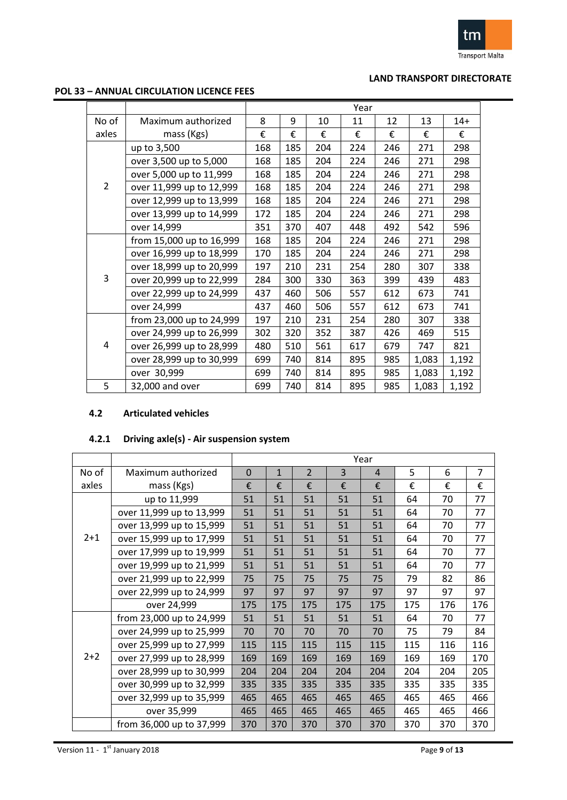

### **POL 33 – ANNUAL CIRCULATION LICENCE FEES**

|                |                          |     |     |     | Year |     |       |       |
|----------------|--------------------------|-----|-----|-----|------|-----|-------|-------|
| No of          | Maximum authorized       | 8   | 9   | 10  | 11   | 12  | 13    | $14+$ |
| axles          | mass (Kgs)               | €   | €   | €   | €    | €   | €     | €     |
|                | up to 3,500              | 168 | 185 | 204 | 224  | 246 | 271   | 298   |
|                | over 3,500 up to 5,000   | 168 | 185 | 204 | 224  | 246 | 271   | 298   |
|                | over 5,000 up to 11,999  | 168 | 185 | 204 | 224  | 246 | 271   | 298   |
| $\overline{2}$ | over 11,999 up to 12,999 | 168 | 185 | 204 | 224  | 246 | 271   | 298   |
|                | over 12,999 up to 13,999 | 168 | 185 | 204 | 224  | 246 | 271   | 298   |
|                | over 13,999 up to 14,999 | 172 | 185 | 204 | 224  | 246 | 271   | 298   |
|                | over 14,999              | 351 | 370 | 407 | 448  | 492 | 542   | 596   |
|                | from 15,000 up to 16,999 | 168 | 185 | 204 | 224  | 246 | 271   | 298   |
|                | over 16,999 up to 18,999 | 170 | 185 | 204 | 224  | 246 | 271   | 298   |
|                | over 18,999 up to 20,999 | 197 | 210 | 231 | 254  | 280 | 307   | 338   |
| 3              | over 20,999 up to 22,999 | 284 | 300 | 330 | 363  | 399 | 439   | 483   |
|                | over 22,999 up to 24,999 | 437 | 460 | 506 | 557  | 612 | 673   | 741   |
|                | over 24,999              | 437 | 460 | 506 | 557  | 612 | 673   | 741   |
|                | from 23,000 up to 24,999 | 197 | 210 | 231 | 254  | 280 | 307   | 338   |
|                | over 24,999 up to 26,999 | 302 | 320 | 352 | 387  | 426 | 469   | 515   |
| 4              | over 26,999 up to 28,999 | 480 | 510 | 561 | 617  | 679 | 747   | 821   |
|                | over 28,999 up to 30,999 | 699 | 740 | 814 | 895  | 985 | 1,083 | 1,192 |
|                | over 30,999              | 699 | 740 | 814 | 895  | 985 | 1,083 | 1,192 |
| 5              | 32,000 and over          | 699 | 740 | 814 | 895  | 985 | 1,083 | 1,192 |

#### **4.2 Articulated vehicles**

# **4.2.1 Driving axle(s) - Air suspension system**

|         |                          |             |              |                |     | Year           |     |     |                |
|---------|--------------------------|-------------|--------------|----------------|-----|----------------|-----|-----|----------------|
| No of   | Maximum authorized       | $\mathbf 0$ | $\mathbf{1}$ | $\overline{2}$ | 3   | $\overline{4}$ | 5   | 6   | $\overline{7}$ |
| axles   | mass (Kgs)               | €           | €            | €              | €   | €              | €   | €   | €              |
|         | up to 11,999             | 51          | 51           | 51             | 51  | 51             | 64  | 70  | 77             |
|         | over 11,999 up to 13,999 | 51          | 51           | 51             | 51  | 51             | 64  | 70  | 77             |
|         | over 13,999 up to 15,999 | 51          | 51           | 51             | 51  | 51             | 64  | 70  | 77             |
| $2 + 1$ | over 15,999 up to 17,999 | 51          | 51           | 51             | 51  | 51             | 64  | 70  | 77             |
|         | over 17,999 up to 19,999 | 51          | 51           | 51             | 51  | 51             | 64  | 70  | 77             |
|         | over 19,999 up to 21,999 | 51          | 51           | 51             | 51  | 51             | 64  | 70  | 77             |
|         | over 21,999 up to 22,999 | 75          | 75           | 75             | 75  | 75             | 79  | 82  | 86             |
|         | over 22,999 up to 24,999 | 97          | 97           | 97             | 97  | 97             | 97  | 97  | 97             |
|         | over 24,999              | 175         | 175          | 175            | 175 | 175            | 175 | 176 | 176            |
|         | from 23,000 up to 24,999 | 51          | 51           | 51             | 51  | 51             | 64  | 70  | 77             |
|         | over 24,999 up to 25,999 | 70          | 70           | 70             | 70  | 70             | 75  | 79  | 84             |
|         | over 25,999 up to 27,999 | 115         | 115          | 115            | 115 | 115            | 115 | 116 | 116            |
| $2+2$   | over 27,999 up to 28,999 | 169         | 169          | 169            | 169 | 169            | 169 | 169 | 170            |
|         | over 28,999 up to 30,999 | 204         | 204          | 204            | 204 | 204            | 204 | 204 | 205            |
|         | over 30,999 up to 32,999 | 335         | 335          | 335            | 335 | 335            | 335 | 335 | 335            |
|         | over 32,999 up to 35,999 | 465         | 465          | 465            | 465 | 465            | 465 | 465 | 466            |
|         | over 35,999              | 465         | 465          | 465            | 465 | 465            | 465 | 465 | 466            |
|         | from 36,000 up to 37,999 | 370         | 370          | 370            | 370 | 370            | 370 | 370 | 370            |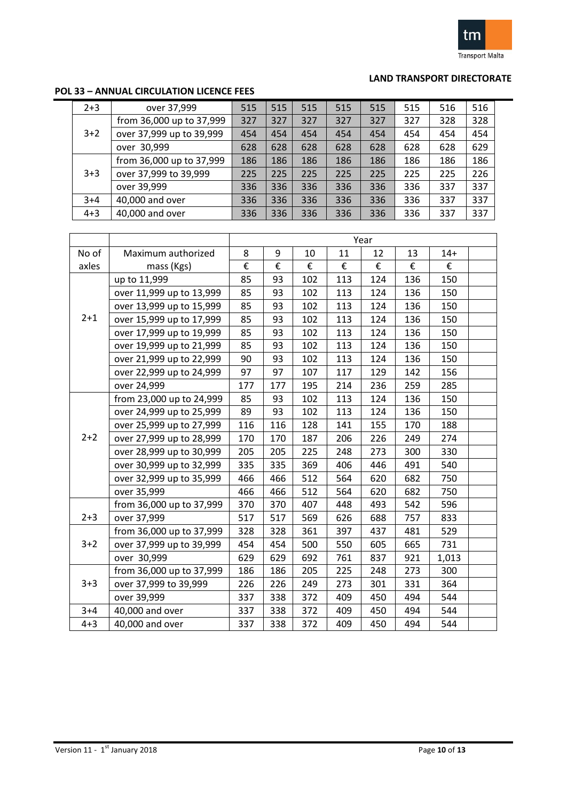

# **POL 33 – ANNUAL CIRCULATION LICENCE FEES**

| $2 + 3$ | over 37,999              | 515 | 515 | 515 | 515 | 515 | 515 | 516 | 516 |  |
|---------|--------------------------|-----|-----|-----|-----|-----|-----|-----|-----|--|
|         | from 36,000 up to 37,999 | 327 | 327 | 327 | 327 | 327 | 327 | 328 | 328 |  |
| $3+2$   | over 37,999 up to 39,999 | 454 | 454 | 454 | 454 | 454 | 454 | 454 | 454 |  |
|         | over 30,999              | 628 | 628 | 628 | 628 | 628 | 628 | 628 | 629 |  |
|         | from 36,000 up to 37,999 | 186 | 186 | 186 | 186 | 186 | 186 | 186 | 186 |  |
| $3+3$   | over 37,999 to 39,999    | 225 | 225 | 225 | 225 | 225 | 225 | 225 | 226 |  |
|         | over 39,999              | 336 | 336 | 336 | 336 | 336 | 336 | 337 | 337 |  |
| $3+4$   | 40,000 and over          | 336 | 336 | 336 | 336 | 336 | 336 | 337 | 337 |  |
| $4 + 3$ | 40,000 and over          | 336 | 336 | 336 | 336 | 336 | 336 | 337 | 337 |  |

|         |                          |     |     |     |     | Year |     |       |  |
|---------|--------------------------|-----|-----|-----|-----|------|-----|-------|--|
| No of   | Maximum authorized       | 8   | 9   | 10  | 11  | 12   | 13  | $14+$ |  |
| axles   | mass (Kgs)               | €   | €   | €   | €   | €    | €   | €     |  |
|         | up to 11,999             | 85  | 93  | 102 | 113 | 124  | 136 | 150   |  |
|         | over 11,999 up to 13,999 | 85  | 93  | 102 | 113 | 124  | 136 | 150   |  |
|         | over 13,999 up to 15,999 | 85  | 93  | 102 | 113 | 124  | 136 | 150   |  |
| $2 + 1$ | over 15,999 up to 17,999 | 85  | 93  | 102 | 113 | 124  | 136 | 150   |  |
|         | over 17,999 up to 19,999 | 85  | 93  | 102 | 113 | 124  | 136 | 150   |  |
|         | over 19,999 up to 21,999 | 85  | 93  | 102 | 113 | 124  | 136 | 150   |  |
|         | over 21,999 up to 22,999 | 90  | 93  | 102 | 113 | 124  | 136 | 150   |  |
|         | over 22,999 up to 24,999 | 97  | 97  | 107 | 117 | 129  | 142 | 156   |  |
|         | over 24,999              | 177 | 177 | 195 | 214 | 236  | 259 | 285   |  |
|         | from 23,000 up to 24,999 | 85  | 93  | 102 | 113 | 124  | 136 | 150   |  |
|         | over 24,999 up to 25,999 | 89  | 93  | 102 | 113 | 124  | 136 | 150   |  |
|         | over 25,999 up to 27,999 | 116 | 116 | 128 | 141 | 155  | 170 | 188   |  |
| $2+2$   | over 27,999 up to 28,999 | 170 | 170 | 187 | 206 | 226  | 249 | 274   |  |
|         | over 28,999 up to 30,999 | 205 | 205 | 225 | 248 | 273  | 300 | 330   |  |
|         | over 30,999 up to 32,999 | 335 | 335 | 369 | 406 | 446  | 491 | 540   |  |
|         | over 32,999 up to 35,999 | 466 | 466 | 512 | 564 | 620  | 682 | 750   |  |
|         | over 35,999              | 466 | 466 | 512 | 564 | 620  | 682 | 750   |  |
|         | from 36,000 up to 37,999 | 370 | 370 | 407 | 448 | 493  | 542 | 596   |  |
| $2 + 3$ | over 37,999              | 517 | 517 | 569 | 626 | 688  | 757 | 833   |  |
|         | from 36,000 up to 37,999 | 328 | 328 | 361 | 397 | 437  | 481 | 529   |  |
| $3 + 2$ | over 37,999 up to 39,999 | 454 | 454 | 500 | 550 | 605  | 665 | 731   |  |
|         | over 30,999              | 629 | 629 | 692 | 761 | 837  | 921 | 1,013 |  |
|         | from 36,000 up to 37,999 | 186 | 186 | 205 | 225 | 248  | 273 | 300   |  |
| $3 + 3$ | over 37,999 to 39,999    | 226 | 226 | 249 | 273 | 301  | 331 | 364   |  |
|         | over 39,999              | 337 | 338 | 372 | 409 | 450  | 494 | 544   |  |
| $3 + 4$ | 40,000 and over          | 337 | 338 | 372 | 409 | 450  | 494 | 544   |  |
| $4 + 3$ | 40,000 and over          | 337 | 338 | 372 | 409 | 450  | 494 | 544   |  |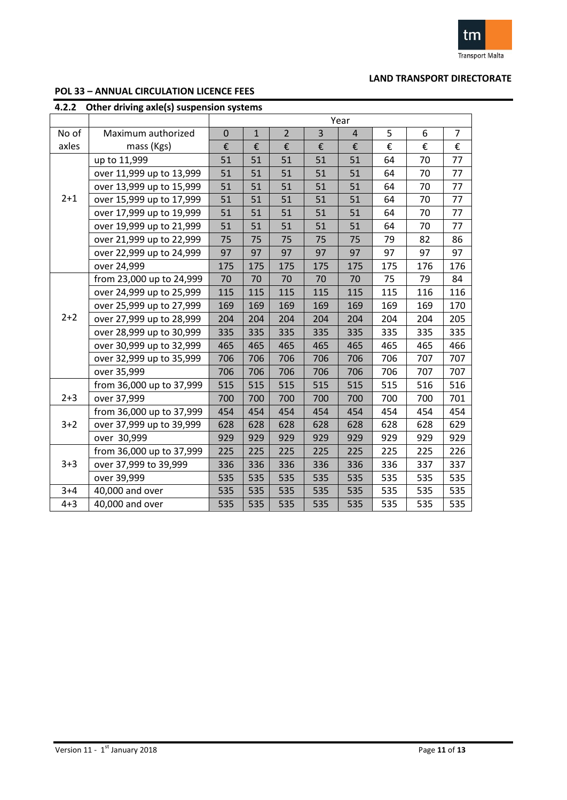

### **POL 33 – ANNUAL CIRCULATION LICENCE FEES**

| 4.2.2   | Other driving axle(s) suspension systems |             |              |                |     |                |     |     |                |
|---------|------------------------------------------|-------------|--------------|----------------|-----|----------------|-----|-----|----------------|
|         |                                          |             |              |                |     | Year           |     |     |                |
| No of   | Maximum authorized                       | $\mathbf 0$ | $\mathbf{1}$ | $\overline{2}$ | 3   | $\overline{4}$ | 5   | 6   | $\overline{7}$ |
| axles   | mass (Kgs)                               | €           | €            | €              | €   | €              | €   | €   | €              |
|         | up to 11,999                             | 51          | 51           | 51             | 51  | 51             | 64  | 70  | 77             |
|         | over 11,999 up to 13,999                 | 51          | 51           | 51             | 51  | 51             | 64  | 70  | 77             |
|         | over 13,999 up to 15,999                 | 51          | 51           | 51             | 51  | 51             | 64  | 70  | 77             |
| $2 + 1$ | over 15,999 up to 17,999                 | 51          | 51           | 51             | 51  | 51             | 64  | 70  | 77             |
|         | over 17,999 up to 19,999                 | 51          | 51           | 51             | 51  | 51             | 64  | 70  | 77             |
|         | over 19,999 up to 21,999                 | 51          | 51           | 51             | 51  | 51             | 64  | 70  | 77             |
|         | over 21,999 up to 22,999                 | 75          | 75           | 75             | 75  | 75             | 79  | 82  | 86             |
|         | over 22,999 up to 24,999                 | 97          | 97           | 97             | 97  | 97             | 97  | 97  | 97             |
|         | over 24,999                              | 175         | 175          | 175            | 175 | 175            | 175 | 176 | 176            |
|         | from 23,000 up to 24,999                 | 70          | 70           | 70             | 70  | 70             | 75  | 79  | 84             |
|         | over 24,999 up to 25,999                 | 115         | 115          | 115            | 115 | 115            | 115 | 116 | 116            |
|         | over 25,999 up to 27,999                 | 169         | 169          | 169            | 169 | 169            | 169 | 169 | 170            |
| $2 + 2$ | over 27,999 up to 28,999                 | 204         | 204          | 204            | 204 | 204            | 204 | 204 | 205            |
|         | over 28,999 up to 30,999                 | 335         | 335          | 335            | 335 | 335            | 335 | 335 | 335            |
|         | over 30,999 up to 32,999                 | 465         | 465          | 465            | 465 | 465            | 465 | 465 | 466            |
|         | over 32,999 up to 35,999                 | 706         | 706          | 706            | 706 | 706            | 706 | 707 | 707            |
|         | over 35,999                              | 706         | 706          | 706            | 706 | 706            | 706 | 707 | 707            |
|         | from 36,000 up to 37,999                 | 515         | 515          | 515            | 515 | 515            | 515 | 516 | 516            |
| $2 + 3$ | over 37,999                              | 700         | 700          | 700            | 700 | 700            | 700 | 700 | 701            |
|         | from 36,000 up to 37,999                 | 454         | 454          | 454            | 454 | 454            | 454 | 454 | 454            |
| $3 + 2$ | over 37,999 up to 39,999                 | 628         | 628          | 628            | 628 | 628            | 628 | 628 | 629            |
|         | over 30,999                              | 929         | 929          | 929            | 929 | 929            | 929 | 929 | 929            |
|         | from 36,000 up to 37,999                 | 225         | 225          | 225            | 225 | 225            | 225 | 225 | 226            |
| $3 + 3$ | over 37,999 to 39,999                    | 336         | 336          | 336            | 336 | 336            | 336 | 337 | 337            |
|         | over 39,999                              | 535         | 535          | 535            | 535 | 535            | 535 | 535 | 535            |
| $3 + 4$ | 40,000 and over                          | 535         | 535          | 535            | 535 | 535            | 535 | 535 | 535            |
| $4 + 3$ | 40,000 and over                          | 535         | 535          | 535            | 535 | 535            | 535 | 535 | 535            |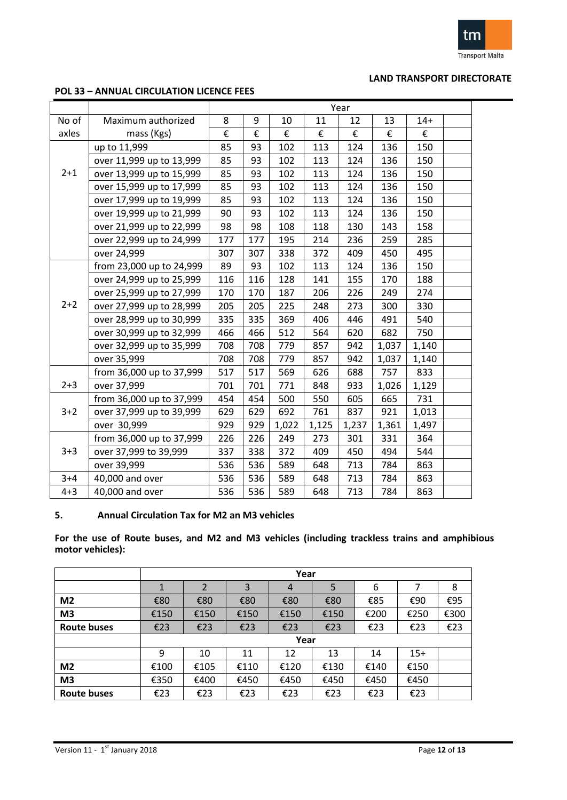

#### **POL 33 – ANNUAL CIRCULATION LICENCE FEES**

|         |                          | Year |     |       |       |       |       |       |  |  |
|---------|--------------------------|------|-----|-------|-------|-------|-------|-------|--|--|
| No of   | Maximum authorized       | 8    | 9   | 10    | 11    | 12    | 13    | $14+$ |  |  |
| axles   | mass (Kgs)               | €    | €   | €     | €     | €     | €     | €     |  |  |
|         | up to 11,999             | 85   | 93  | 102   | 113   | 124   | 136   | 150   |  |  |
|         | over 11,999 up to 13,999 | 85   | 93  | 102   | 113   | 124   | 136   | 150   |  |  |
| $2 + 1$ | over 13,999 up to 15,999 | 85   | 93  | 102   | 113   | 124   | 136   | 150   |  |  |
|         | over 15,999 up to 17,999 | 85   | 93  | 102   | 113   | 124   | 136   | 150   |  |  |
|         | over 17,999 up to 19,999 | 85   | 93  | 102   | 113   | 124   | 136   | 150   |  |  |
|         | over 19,999 up to 21,999 | 90   | 93  | 102   | 113   | 124   | 136   | 150   |  |  |
|         | over 21,999 up to 22,999 | 98   | 98  | 108   | 118   | 130   | 143   | 158   |  |  |
|         | over 22,999 up to 24,999 | 177  | 177 | 195   | 214   | 236   | 259   | 285   |  |  |
|         | over 24,999              | 307  | 307 | 338   | 372   | 409   | 450   | 495   |  |  |
|         | from 23,000 up to 24,999 | 89   | 93  | 102   | 113   | 124   | 136   | 150   |  |  |
|         | over 24,999 up to 25,999 | 116  | 116 | 128   | 141   | 155   | 170   | 188   |  |  |
|         | over 25,999 up to 27,999 | 170  | 170 | 187   | 206   | 226   | 249   | 274   |  |  |
| $2+2$   | over 27,999 up to 28,999 | 205  | 205 | 225   | 248   | 273   | 300   | 330   |  |  |
|         | over 28,999 up to 30,999 | 335  | 335 | 369   | 406   | 446   | 491   | 540   |  |  |
|         | over 30,999 up to 32,999 | 466  | 466 | 512   | 564   | 620   | 682   | 750   |  |  |
|         | over 32,999 up to 35,999 | 708  | 708 | 779   | 857   | 942   | 1,037 | 1,140 |  |  |
|         | over 35,999              | 708  | 708 | 779   | 857   | 942   | 1,037 | 1,140 |  |  |
|         | from 36,000 up to 37,999 | 517  | 517 | 569   | 626   | 688   | 757   | 833   |  |  |
| $2 + 3$ | over 37,999              | 701  | 701 | 771   | 848   | 933   | 1,026 | 1,129 |  |  |
|         | from 36,000 up to 37,999 | 454  | 454 | 500   | 550   | 605   | 665   | 731   |  |  |
| $3 + 2$ | over 37,999 up to 39,999 | 629  | 629 | 692   | 761   | 837   | 921   | 1,013 |  |  |
|         | over 30,999              | 929  | 929 | 1,022 | 1,125 | 1,237 | 1,361 | 1,497 |  |  |
|         | from 36,000 up to 37,999 | 226  | 226 | 249   | 273   | 301   | 331   | 364   |  |  |
| $3 + 3$ | over 37,999 to 39,999    | 337  | 338 | 372   | 409   | 450   | 494   | 544   |  |  |
|         | over 39,999              | 536  | 536 | 589   | 648   | 713   | 784   | 863   |  |  |
| $3 + 4$ | 40,000 and over          | 536  | 536 | 589   | 648   | 713   | 784   | 863   |  |  |
| $4 + 3$ | 40,000 and over          | 536  | 536 | 589   | 648   | 713   | 784   | 863   |  |  |

### **5. Annual Circulation Tax for M2 an M3 vehicles**

**For the use of Route buses, and M2 and M3 vehicles (including trackless trains and amphibious motor vehicles):**

|                |      |                |      | Year |      |      |       |      |
|----------------|------|----------------|------|------|------|------|-------|------|
|                | 1    | $\overline{2}$ | 3    | 4    | 5    | 6    |       | 8    |
| M <sub>2</sub> | €80  | €80            | €80  | €80  | €80  | €85  | €90   | €95  |
| M <sub>3</sub> | €150 | €150           | €150 | €150 | €150 | €200 | €250  | €300 |
| Route buses    | €23  | €23            | €23  | €23  | €23  | €23  | €23   | €23  |
|                |      |                |      | Year |      |      |       |      |
|                | 9    | 10             | 11   | 12   | 13   | 14   | $15+$ |      |
| M <sub>2</sub> | €100 | €105           | €110 | €120 | €130 | €140 | €150  |      |
| M <sub>3</sub> | €350 | €400           | €450 | €450 | €450 | €450 | €450  |      |
| Route buses    | €23  | €23            | €23  | €23  | €23  | €23  | €23   |      |